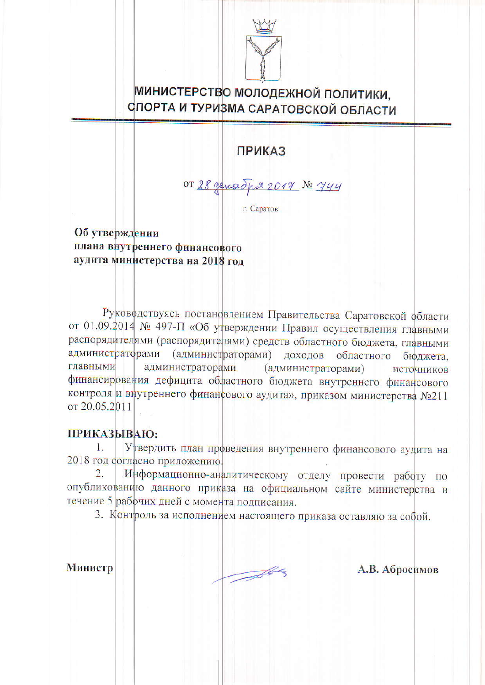

## МИНИСТЕРСТВО МОЛОДЕЖНОЙ ПОЛИТИКИ, **СПОРТА И ТУРИЗМА САРАТОВСКОЙ ОБЛАСТИ**

**ПРИКАЗ** 

0T 28 genesdp 2017 № 744

г. Саратов

Об утверждении плана внутреннего финансового аудита министерства на 2018 год

Руковфдствуясь постановлением Правительства Саратовской области от 01.09.2014 № 497-П «Об утверждении Правил осуществления главными распорядителями (распорядителями) средств областного бюджета, главными администраторами (администраторами) доходов областного бюджета, главными администраторами (администраторами) источников финансирования дефицита областного бюджета внутреннего финансового контроля и внутреннего финансового аудита», приказом министерства №211 от 20.05.2011

## ПРИКАЗЫВАЮ:

Утвердить план прфведения внутреннего финансового аудита на 1. 2018 год согласно приложению.

Информационно-аналитическому отделу провести работу по  $\overline{2}$ . опубликованию данного приказа на официальном сайте министерства в течение 5 рабочих дней с момента подписания.

3. Контроль за исполнением настоящего приказа оставляю за собой.

Министр

A

А.В. Абросимов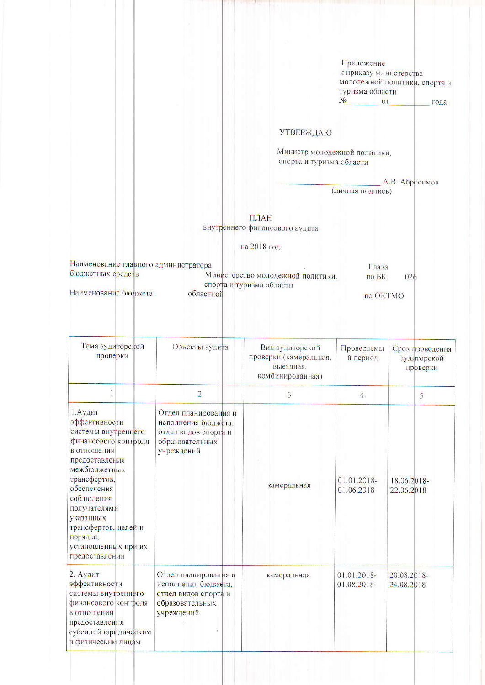Приложение к приказу министерства молодежной политики, спорта и туризма области  $N<sub>2</sub>$  ot of  $\overline{N_2}$ года

## **УТВЕРЖДАЮ**

Министр молодежной политики, спорта и туризма области

А.В. Абросимов

(личная подпись)

ПЛАН внутреннего финансового аудита

на 2018 год

Наименование главного администратора Глава бюджетных средств Министерство молодежной политики, по БК  $026$ спорта и туризма области Наименование бюджета областной **πο ΟΚΤΜΟ** 

| Тема аудиторской<br>проверки                                                                                                                                                                                                                                                      | Объекты аудита                                                                                       | Вид аудиторской<br>проверки (камеральная,<br>выездная,<br>комбинированная) | Проверяемы<br>й период       | Срок проведения<br>аудиторской<br>проверки |
|-----------------------------------------------------------------------------------------------------------------------------------------------------------------------------------------------------------------------------------------------------------------------------------|------------------------------------------------------------------------------------------------------|----------------------------------------------------------------------------|------------------------------|--------------------------------------------|
|                                                                                                                                                                                                                                                                                   | $\overline{2}$                                                                                       | 3                                                                          | $\overline{4}$               | 5                                          |
| 1. Аудит<br>эффективности<br>системы внутреннего<br>финансового контроля<br>в отношении<br>предоставления<br>межбюджетных<br>трансфертов,<br>обеспечения<br>соблюдения<br>получателями<br>указанных<br>трансфертов, целей и<br>порядка,<br>установленных при их<br>предоставлении | Отдел планирования и<br>исполнения бюджета,<br>отдел видов спорта и<br>образовательных<br>учреждений | камеральная                                                                | 01.01.2018-<br>01.06.2018    | 18.06.2018-<br>22.06.2018                  |
| 2. Аудит<br>эффективности<br>системы внутреннего<br>финансового контроля<br>в отношении<br>предоставления<br>субсидий юридическим<br>и физическим лицам                                                                                                                           | Отдел планирования и<br>исполнения бюджета,<br>отдел видов спорта и<br>образовательных<br>учреждений | камеральная                                                                | $01.01.2018 -$<br>01.08.2018 | 20.08.2018-<br>24.08.2018                  |